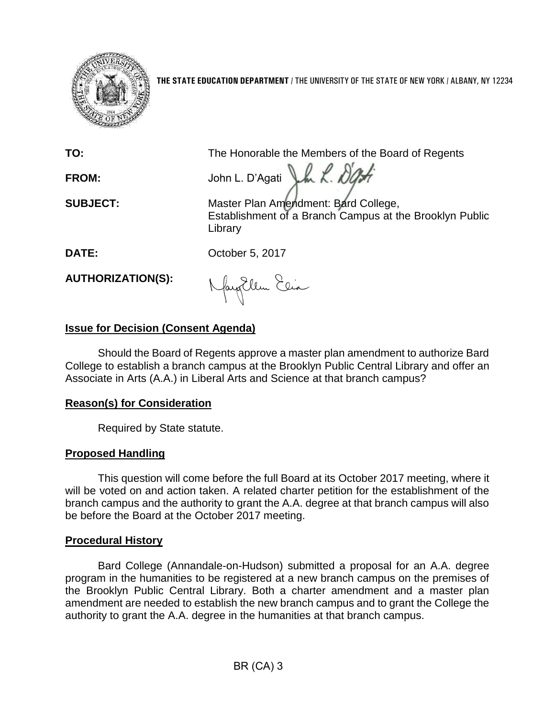

**THE STATE EDUCATION DEPARTMENT** / THE UNIVERSITY OF THE STATE OF NEW YORK / ALBANY, NY 12234

**TO:** The Honorable the Members of the Board of Regents

FROM: John L. D'Agati Lk R. D'At

**SUBJECT:** Master Plan Amendment: Bard College, Establishment of a Branch Campus at the Brooklyn Public Library

**DATE:** October 5, 2017

**AUTHORIZATION(S):**

Naytlem Eein

# **Issue for Decision (Consent Agenda)**

Should the Board of Regents approve a master plan amendment to authorize Bard College to establish a branch campus at the Brooklyn Public Central Library and offer an Associate in Arts (A.A.) in Liberal Arts and Science at that branch campus?

## **Reason(s) for Consideration**

Required by State statute.

# **Proposed Handling**

This question will come before the full Board at its October 2017 meeting, where it will be voted on and action taken. A related charter petition for the establishment of the branch campus and the authority to grant the A.A. degree at that branch campus will also be before the Board at the October 2017 meeting.

## **Procedural History**

Bard College (Annandale-on-Hudson) submitted a proposal for an A.A. degree program in the humanities to be registered at a new branch campus on the premises of the Brooklyn Public Central Library. Both a charter amendment and a master plan amendment are needed to establish the new branch campus and to grant the College the authority to grant the A.A. degree in the humanities at that branch campus.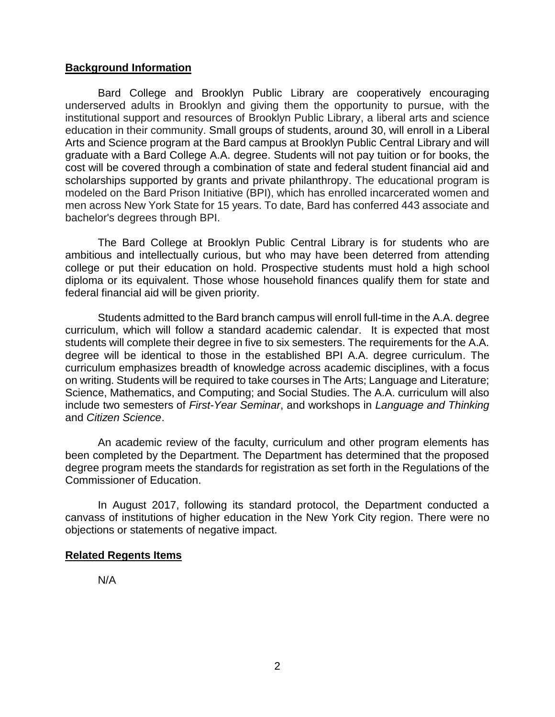### **Background Information**

Bard College and Brooklyn Public Library are cooperatively encouraging underserved adults in Brooklyn and giving them the opportunity to pursue, with the institutional support and resources of Brooklyn Public Library, a liberal arts and science education in their community. Small groups of students, around 30, will enroll in a Liberal Arts and Science program at the Bard campus at Brooklyn Public Central Library and will graduate with a Bard College A.A. degree. Students will not pay tuition or for books, the cost will be covered through a combination of state and federal student financial aid and scholarships supported by grants and private philanthropy. The educational program is modeled on the Bard Prison Initiative (BPI), which has enrolled incarcerated women and men across New York State for 15 years. To date, Bard has conferred 443 associate and bachelor's degrees through BPI.

The Bard College at Brooklyn Public Central Library is for students who are ambitious and intellectually curious, but who may have been deterred from attending college or put their education on hold. Prospective students must hold a high school diploma or its equivalent. Those whose household finances qualify them for state and federal financial aid will be given priority.

Students admitted to the Bard branch campus will enroll full-time in the A.A. degree curriculum, which will follow a standard academic calendar. It is expected that most students will complete their degree in five to six semesters. The requirements for the A.A. degree will be identical to those in the established BPI A.A. degree curriculum. The curriculum emphasizes breadth of knowledge across academic disciplines, with a focus on writing. Students will be required to take courses in The Arts; Language and Literature; Science, Mathematics, and Computing; and Social Studies. The A.A. curriculum will also include two semesters of *First-Year Seminar*, and workshops in *Language and Thinking* and *Citizen Science*.

An academic review of the faculty, curriculum and other program elements has been completed by the Department. The Department has determined that the proposed degree program meets the standards for registration as set forth in the Regulations of the Commissioner of Education.

In August 2017, following its standard protocol, the Department conducted a canvass of institutions of higher education in the New York City region. There were no objections or statements of negative impact.

#### **Related Regents Items**

N/A